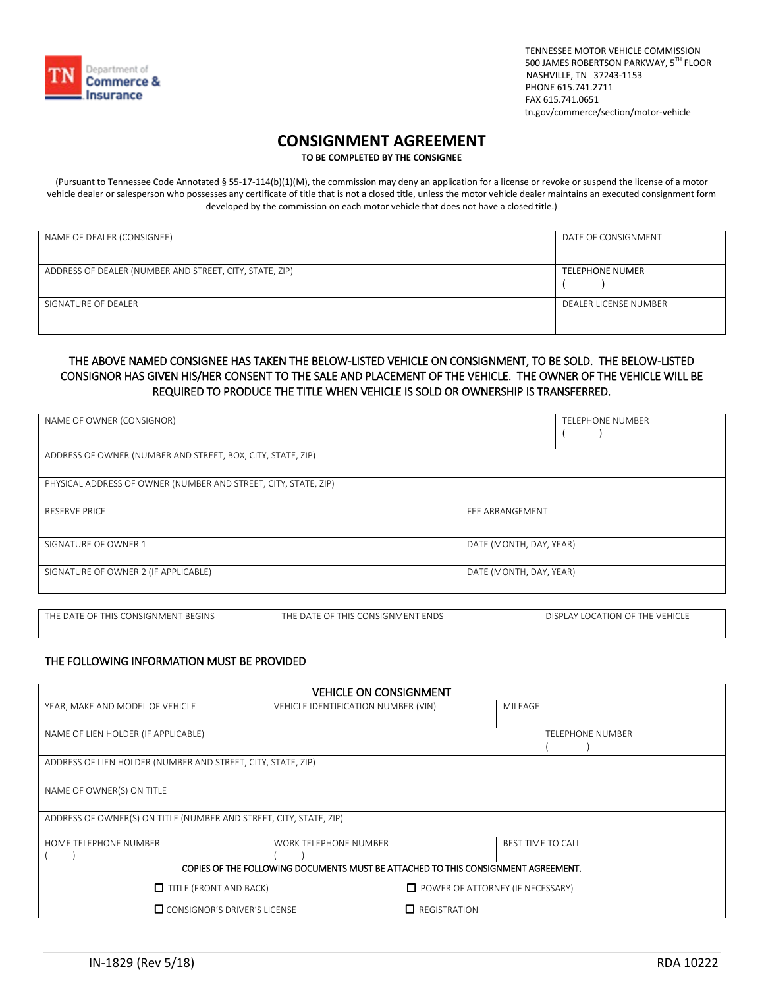

TENNESSEE MOTOR VEHICLE COMMISSION<br>500 JAMES ROBERTSON PARKWAY, 5<sup>TH</sup> FLOOR NASHVILLE, TN 37243-1153 PHONE 615.741.2711 FAX 615.741.0651 tn.gov/commerce/section/motor-vehicle

# **CONSIGNMENT AGREEMENT**

**TO BE COMPLETED BY THE CONSIGNEE**

(Pursuant to Tennessee Code Annotated § 55-17-114(b)(1)(M), the commission may deny an application for a license or revoke or suspend the license of a motor vehicle dealer or salesperson who possesses any certificate of title that is not a closed title, unless the motor vehicle dealer maintains an executed consignment form developed by the commission on each motor vehicle that does not have a closed title.)

| NAME OF DEALER (CONSIGNEE)                              | DATE OF CONSIGNMENT    |
|---------------------------------------------------------|------------------------|
| ADDRESS OF DEALER (NUMBER AND STREET, CITY, STATE, ZIP) | <b>TELEPHONE NUMER</b> |
| SIGNATURE OF DEALER                                     | DEALER LICENSE NUMBER  |

### THE ABOVE NAMED CONSIGNEE HAS TAKEN THE BELOW-LISTED VEHICLE ON CONSIGNMENT, TO BE SOLD. THE BELOW-LISTED CONSIGNOR HAS GIVEN HIS/HER CONSENT TO THE SALE AND PLACEMENT OF THE VEHICLE. THE OWNER OF THE VEHICLE WILL BE REQUIRED TO PRODUCE THE TITLE WHEN VEHICLE IS SOLD OR OWNERSHIP IS TRANSFERRED.

| NAME OF OWNER (CONSIGNOR)                                       |                         | <b>TELEPHONE NUMBER</b> |
|-----------------------------------------------------------------|-------------------------|-------------------------|
| ADDRESS OF OWNER (NUMBER AND STREET, BOX, CITY, STATE, ZIP)     |                         |                         |
| PHYSICAL ADDRESS OF OWNER (NUMBER AND STREET, CITY, STATE, ZIP) |                         |                         |
| <b>RESERVE PRICE</b>                                            | FEE ARRANGEMENT         |                         |
| SIGNATURE OF OWNER 1                                            | DATE (MONTH, DAY, YEAR) |                         |
| SIGNATURE OF OWNER 2 (IF APPLICABLE)                            | DATE (MONTH, DAY, YEAR) |                         |

| E OF THIS CONSIGNMENT BEGINS<br>E DATE OF THIS CONSIGNMENT (<br><b>ENDS</b><br>THE DATE<br>ГHF |  | DISPLAY LOCATION OF THE VEHICLE |
|------------------------------------------------------------------------------------------------|--|---------------------------------|
|                                                                                                |  |                                 |

## THE FOLLOWING INFORMATION MUST BE PROVIDED

| <b>VEHICLE ON CONSIGNMENT</b>                                                     |                                     |                     |                          |
|-----------------------------------------------------------------------------------|-------------------------------------|---------------------|--------------------------|
| YEAR, MAKE AND MODEL OF VEHICLE                                                   | VEHICLE IDENTIFICATION NUMBER (VIN) |                     | MILEAGE                  |
|                                                                                   |                                     |                     |                          |
| NAME OF LIEN HOLDER (IF APPLICABLE)                                               |                                     |                     | <b>TELEPHONE NUMBER</b>  |
|                                                                                   |                                     |                     |                          |
| ADDRESS OF LIEN HOLDER (NUMBER AND STREET, CITY, STATE, ZIP)                      |                                     |                     |                          |
|                                                                                   |                                     |                     |                          |
| NAME OF OWNER(S) ON TITLE                                                         |                                     |                     |                          |
|                                                                                   |                                     |                     |                          |
| ADDRESS OF OWNER(S) ON TITLE (NUMBER AND STREET, CITY, STATE, ZIP)                |                                     |                     |                          |
|                                                                                   |                                     |                     |                          |
| HOME TELEPHONE NUMBER                                                             | <b>WORK TELEPHONE NUMBER</b>        |                     | <b>BEST TIME TO CALL</b> |
|                                                                                   |                                     |                     |                          |
| COPIES OF THE FOLLOWING DOCUMENTS MUST BE ATTACHED TO THIS CONSIGNMENT AGREEMENT. |                                     |                     |                          |
| $\Box$ TITLE (FRONT AND BACK)<br>$\Box$ POWER OF ATTORNEY (IF NECESSARY)          |                                     |                     |                          |
| $\Box$ CONSIGNOR'S DRIVER'S LICENSE                                               |                                     | $\Box$ REGISTRATION |                          |